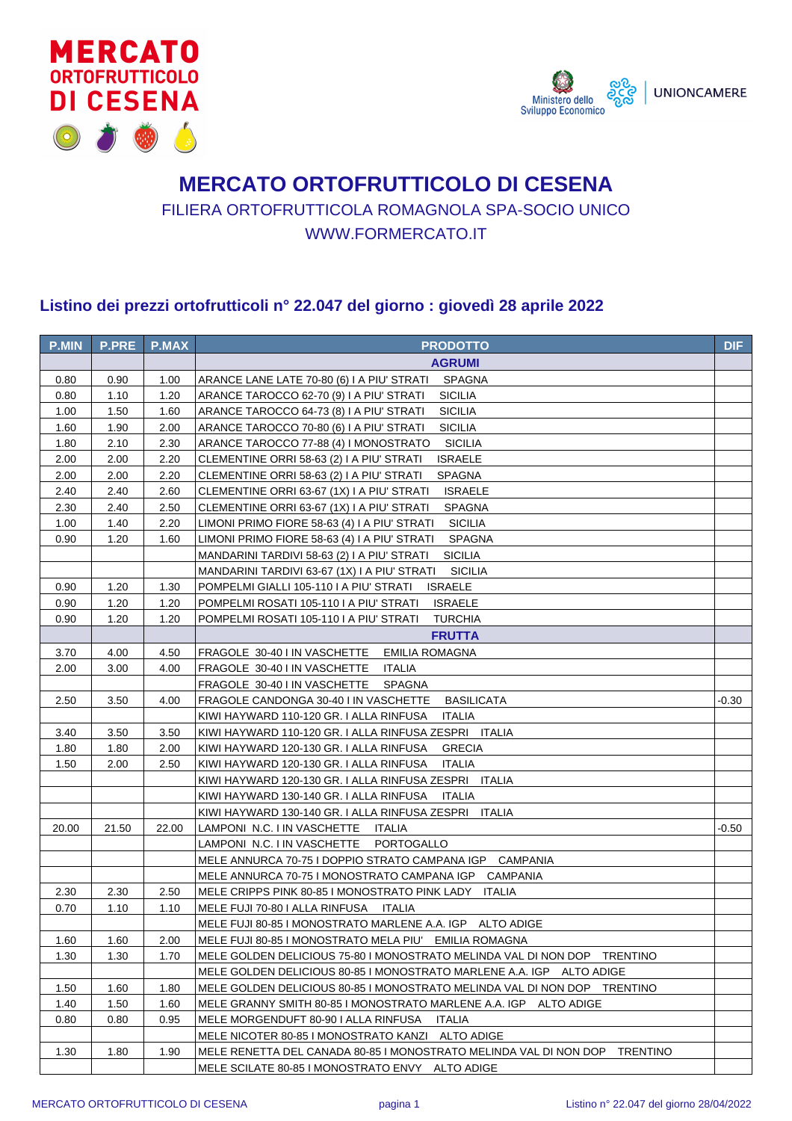



## **MERCATO ORTOFRUTTICOLO DI CESENA** FILIERA ORTOFRUTTICOLA ROMAGNOLA SPA-SOCIO UNICO WWW.FORMERCATO.IT

## **Listino dei prezzi ortofrutticoli n° 22.047 del giorno : giovedì 28 aprile 2022**

| <b>P.MIN</b> | <b>P.PRE</b> | <b>P.MAX</b> | <b>PRODOTTO</b>                                                                      | <b>DIF</b> |
|--------------|--------------|--------------|--------------------------------------------------------------------------------------|------------|
|              |              |              | <b>AGRUMI</b>                                                                        |            |
| 0.80         | 0.90         | 1.00         | ARANCE LANE LATE 70-80 (6) I A PIU' STRATI<br>SPAGNA                                 |            |
| 0.80         | 1.10         | 1.20         | <b>SICILIA</b><br>ARANCE TAROCCO 62-70 (9) I A PIU' STRATI                           |            |
| 1.00         | 1.50         | 1.60         | <b>SICILIA</b><br>ARANCE TAROCCO 64-73 (8) I A PIU' STRATI                           |            |
| 1.60         | 1.90         | 2.00         | <b>SICILIA</b><br>ARANCE TAROCCO 70-80 (6) I A PIU' STRATI                           |            |
| 1.80         | 2.10         | 2.30         | <b>SICILIA</b><br>ARANCE TAROCCO 77-88 (4) I MONOSTRATO                              |            |
| 2.00         | 2.00         | 2.20         | CLEMENTINE ORRI 58-63 (2) I A PIU' STRATI<br><b>ISRAELE</b>                          |            |
| 2.00         | 2.00         | 2.20         | CLEMENTINE ORRI 58-63 (2) I A PIU' STRATI<br><b>SPAGNA</b>                           |            |
| 2.40         | 2.40         | 2.60         | CLEMENTINE ORRI 63-67 (1X) I A PIU' STRATI<br><b>ISRAELE</b>                         |            |
| 2.30         | 2.40         | 2.50         | CLEMENTINE ORRI 63-67 (1X) I A PIU' STRATI<br><b>SPAGNA</b>                          |            |
| 1.00         | 1.40         | 2.20         | LIMONI PRIMO FIORE 58-63 (4) I A PIU' STRATI<br><b>SICILIA</b>                       |            |
| 0.90         | 1.20         | 1.60         | LIMONI PRIMO FIORE 58-63 (4) I A PIU' STRATI<br><b>SPAGNA</b>                        |            |
|              |              |              | <b>SICILIA</b><br>MANDARINI TARDIVI 58-63 (2) I A PIU' STRATI                        |            |
|              |              |              | <b>SICILIA</b><br>MANDARINI TARDIVI 63-67 (1X) I A PIU' STRATI                       |            |
| 0.90         | 1.20         | 1.30         | POMPELMI GIALLI 105-110 I A PIU' STRATI<br><b>ISRAELE</b>                            |            |
| 0.90         | 1.20         | 1.20         | POMPELMI ROSATI 105-110 I A PIU' STRATI<br><b>ISRAELE</b>                            |            |
| 0.90         | 1.20         | 1.20         | POMPELMI ROSATI 105-110 I A PIU' STRATI<br><b>TURCHIA</b>                            |            |
|              |              |              | <b>FRUTTA</b>                                                                        |            |
| 3.70         | 4.00         | 4.50         | <b>EMILIA ROMAGNA</b><br>FRAGOLE 30-40 I IN VASCHETTE                                |            |
| 2.00         | 3.00         | 4.00         | FRAGOLE 30-40 I IN VASCHETTE<br>ITALIA                                               |            |
|              |              |              | FRAGOLE 30-40 I IN VASCHETTE<br>SPAGNA                                               |            |
| 2.50         | 3.50         | 4.00         | FRAGOLE CANDONGA 30-40 I IN VASCHETTE<br><b>BASILICATA</b>                           | -0.30      |
|              |              |              | KIWI HAYWARD 110-120 GR. I ALLA RINFUSA<br><b>ITALIA</b>                             |            |
| 3.40         | 3.50         | 3.50         | KIWI HAYWARD 110-120 GR. I ALLA RINFUSA ZESPRI ITALIA                                |            |
| 1.80         | 1.80         | 2.00         | KIWI HAYWARD 120-130 GR. I ALLA RINFUSA<br><b>GRECIA</b>                             |            |
| 1.50         | 2.00         | 2.50         | KIWI HAYWARD 120-130 GR. I ALLA RINFUSA<br><b>ITALIA</b>                             |            |
|              |              |              | KIWI HAYWARD 120-130 GR. I ALLA RINFUSA ZESPRI ITALIA                                |            |
|              |              |              | KIWI HAYWARD 130-140 GR. I ALLA RINFUSA<br>ITALIA                                    |            |
|              |              |              | KIWI HAYWARD 130-140 GR. I ALLA RINFUSA ZESPRI ITALIA                                |            |
| 20.00        | 21.50        | 22.00        | LAMPONI N.C. I IN VASCHETTE<br>ITALIA                                                | -0.50      |
|              |              |              | PORTOGALLO<br>LAMPONI N.C. I IN VASCHETTE                                            |            |
|              |              |              | MELE ANNURCA 70-75 I DOPPIO STRATO CAMPANA IGP CAMPANIA                              |            |
|              |              |              | MELE ANNURCA 70-75 I MONOSTRATO CAMPANA IGP CAMPANIA                                 |            |
| 2.30         | 2.30         | 2.50         | MELE CRIPPS PINK 80-85 I MONOSTRATO PINK LADY<br>ITALIA                              |            |
| 0.70         | 1.10         | 1.10         | MELE FUJI 70-80 I ALLA RINFUSA ITALIA                                                |            |
|              |              |              | MELE FUJI 80-85 I MONOSTRATO MARLENE A.A. IGP ALTO ADIGE                             |            |
| 1.60         | 1.60         | 2.00         | MELE FUJI 80-85 I MONOSTRATO MELA PIU' EMILIA ROMAGNA                                |            |
| 1.30         | 1.30         | 1.70         | MELE GOLDEN DELICIOUS 75-80 I MONOSTRATO MELINDA VAL DI NON DOP TRENTINO             |            |
|              |              |              | MELE GOLDEN DELICIOUS 80-85 I MONOSTRATO MARLENE A.A. IGP ALTO ADIGE                 |            |
| 1.50         | 1.60         | 1.80         | MELE GOLDEN DELICIOUS 80-85 I MONOSTRATO MELINDA VAL DI NON DOP TRENTINO             |            |
| 1.40         | 1.50         | 1.60         | MELE GRANNY SMITH 80-85 I MONOSTRATO MARLENE A.A. IGP ALTO ADIGE                     |            |
| 0.80         | 0.80         | 0.95         | MELE MORGENDUFT 80-90   ALLA RINFUSA<br>ITALIA                                       |            |
|              |              |              | MELE NICOTER 80-85 I MONOSTRATO KANZI ALTO ADIGE                                     |            |
| 1.30         | 1.80         | 1.90         | MELE RENETTA DEL CANADA 80-85 I MONOSTRATO MELINDA VAL DI NON DOP<br><b>TRENTINO</b> |            |
|              |              |              | MELE SCILATE 80-85 I MONOSTRATO ENVY ALTO ADIGE                                      |            |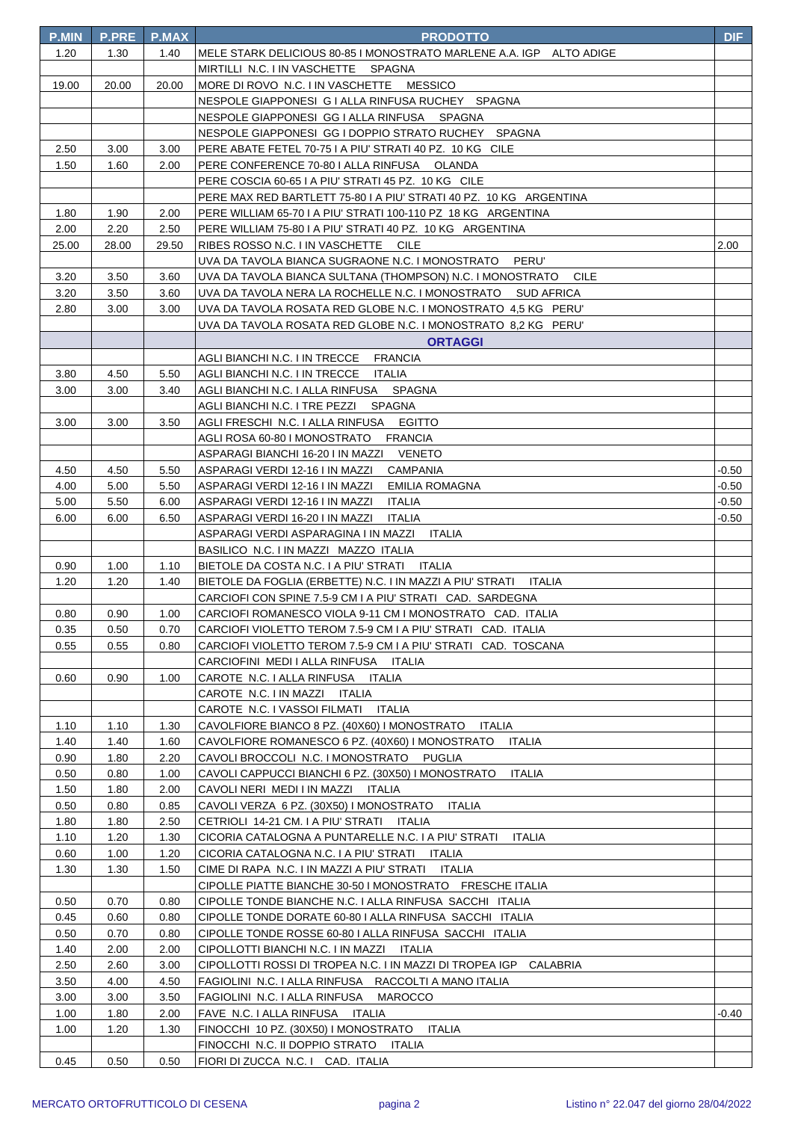| <b>P.MIN</b> | <b>P.PRE</b> | <b>P.MAX</b> | <b>PRODOTTO</b>                                                                       | <b>DIF</b> |
|--------------|--------------|--------------|---------------------------------------------------------------------------------------|------------|
| 1.20         | 1.30         | 1.40         | MELE STARK DELICIOUS 80-85 I MONOSTRATO MARLENE A.A. IGP ALTO ADIGE                   |            |
|              |              |              | MIRTILLI N.C. I IN VASCHETTE SPAGNA                                                   |            |
| 19.00        | 20.00        | 20.00        | MORE DI ROVO N.C. I IN VASCHETTE MESSICO                                              |            |
|              |              |              | NESPOLE GIAPPONESI G I ALLA RINFUSA RUCHEY SPAGNA                                     |            |
|              |              |              | NESPOLE GIAPPONESI GG I ALLA RINFUSA SPAGNA                                           |            |
|              |              |              | NESPOLE GIAPPONESI GG I DOPPIO STRATO RUCHEY SPAGNA                                   |            |
| 2.50         | 3.00         | 3.00         | PERE ABATE FETEL 70-75 I A PIU' STRATI 40 PZ. 10 KG CILE                              |            |
| 1.50         | 1.60         | 2.00         | PERE CONFERENCE 70-80   ALLA RINFUSA OLANDA                                           |            |
|              |              |              | PERE COSCIA 60-65 I A PIU' STRATI 45 PZ. 10 KG CILE                                   |            |
|              |              |              | PERE MAX RED BARTLETT 75-80 I A PIU' STRATI 40 PZ. 10 KG ARGENTINA                    |            |
| 1.80         | 1.90         | 2.00         | PERE WILLIAM 65-70 I A PIU' STRATI 100-110 PZ 18 KG ARGENTINA                         |            |
| 2.00         | 2.20         | 2.50         | PERE WILLIAM 75-80 I A PIU' STRATI 40 PZ. 10 KG ARGENTINA                             |            |
| 25.00        | 28.00        | 29.50        | RIBES ROSSO N.C. I IN VASCHETTE CILE                                                  | 2.00       |
|              |              |              | UVA DA TAVOLA BIANCA SUGRAONE N.C. I MONOSTRATO<br>PERU'                              |            |
| 3.20         | 3.50         | 3.60         | UVA DA TAVOLA BIANCA SULTANA (THOMPSON) N.C. I MONOSTRATO<br><b>CILE</b>              |            |
| 3.20         | 3.50         | 3.60         | UVA DA TAVOLA NERA LA ROCHELLE N.C. I MONOSTRATO SUD AFRICA                           |            |
| 2.80         | 3.00         | 3.00         | UVA DA TAVOLA ROSATA RED GLOBE N.C. I MONOSTRATO 4,5 KG PERU'                         |            |
|              |              |              | UVA DA TAVOLA ROSATA RED GLOBE N.C. I MONOSTRATO 8,2 KG PERU'                         |            |
|              |              |              | <b>ORTAGGI</b>                                                                        |            |
|              |              |              | AGLI BIANCHI N.C. I IN TRECCE<br><b>FRANCIA</b>                                       |            |
| 3.80         | 4.50         | 5.50         | AGLI BIANCHI N.C. I IN TRECCE<br>ITALIA                                               |            |
| 3.00         | 3.00         | 3.40         | SPAGNA<br>AGLI BIANCHI N.C. I ALLA RINFUSA                                            |            |
|              |              |              | AGLI BIANCHI N.C. I TRE PEZZI<br>SPAGNA                                               |            |
| 3.00         | 3.00         | 3.50         | <b>EGITTO</b><br>AGLI FRESCHI N.C. I ALLA RINFUSA                                     |            |
|              |              |              | <b>FRANCIA</b><br>AGLI ROSA 60-80 I MONOSTRATO                                        |            |
|              |              |              | ASPARAGI BIANCHI 16-20 I IN MAZZI VENETO                                              |            |
| 4.50         | 4.50         | 5.50         | ASPARAGI VERDI 12-16 I IN MAZZI<br>CAMPANIA                                           | -0.50      |
| 4.00         | 5.00         | 5.50         | ASPARAGI VERDI 12-16 I IN MAZZI<br>EMILIA ROMAGNA                                     | $-0.50$    |
| 5.00         | 5.50         | 6.00         | ASPARAGI VERDI 12-16 I IN MAZZI<br>ITALIA                                             | $-0.50$    |
| 6.00         | 6.00         | 6.50         | ASPARAGI VERDI 16-20 I IN MAZZI<br>ITALIA                                             | $-0.50$    |
|              |              |              | ASPARAGI VERDI ASPARAGINA I IN MAZZI ITALIA                                           |            |
| 0.90         | 1.00         |              | BASILICO N.C. I IN MAZZI MAZZO ITALIA<br>BIETOLE DA COSTA N.C. I A PIU' STRATI ITALIA |            |
| 1.20         | 1.20         | 1.10<br>1.40 | BIETOLE DA FOGLIA (ERBETTE) N.C. I IN MAZZI A PIU' STRATI<br>ITALIA                   |            |
|              |              |              | CARCIOFI CON SPINE 7.5-9 CM I A PIU' STRATI CAD. SARDEGNA                             |            |
| 0.80         | 0.90         | 1.00         | CARCIOFI ROMANESCO VIOLA 9-11 CM I MONOSTRATO CAD. ITALIA                             |            |
| 0.35         | 0.50         | 0.70         | CARCIOFI VIOLETTO TEROM 7.5-9 CM I A PIU' STRATI CAD. ITALIA                          |            |
| 0.55         | 0.55         | 0.80         | CARCIOFI VIOLETTO TEROM 7.5-9 CM I A PIU' STRATI CAD. TOSCANA                         |            |
|              |              |              | CARCIOFINI MEDI I ALLA RINFUSA ITALIA                                                 |            |
| 0.60         | 0.90         | 1.00         | CAROTE N.C. I ALLA RINFUSA ITALIA                                                     |            |
|              |              |              | CAROTE N.C. I IN MAZZI ITALIA                                                         |            |
|              |              |              | CAROTE N.C. I VASSOI FILMATI ITALIA                                                   |            |
| 1.10         | 1.10         | 1.30         | CAVOLFIORE BIANCO 8 PZ. (40X60) I MONOSTRATO<br>ITALIA                                |            |
| 1.40         | 1.40         | 1.60         | CAVOLFIORE ROMANESCO 6 PZ. (40X60) I MONOSTRATO<br><b>ITALIA</b>                      |            |
| 0.90         | 1.80         | 2.20         | CAVOLI BROCCOLI N.C. I MONOSTRATO PUGLIA                                              |            |
| 0.50         | 0.80         | 1.00         | CAVOLI CAPPUCCI BIANCHI 6 PZ. (30X50) I MONOSTRATO<br>ITALIA                          |            |
| 1.50         | 1.80         | 2.00         | CAVOLI NERI MEDI I IN MAZZI ITALIA                                                    |            |
| 0.50         | 0.80         | 0.85         | CAVOLI VERZA 6 PZ. (30X50) I MONOSTRATO<br>ITALIA                                     |            |
| 1.80         | 1.80         | 2.50         | CETRIOLI 14-21 CM. I A PIU' STRATI ITALIA                                             |            |
| 1.10         | 1.20         | 1.30         | CICORIA CATALOGNA A PUNTARELLE N.C. I A PIU' STRATI ITALIA                            |            |
| 0.60         | 1.00         | 1.20         | CICORIA CATALOGNA N.C. I A PIU' STRATI ITALIA                                         |            |
| 1.30         | 1.30         | 1.50         | CIME DI RAPA N.C. I IN MAZZI A PIU' STRATI ITALIA                                     |            |
|              |              |              | CIPOLLE PIATTE BIANCHE 30-50 I MONOSTRATO FRESCHE ITALIA                              |            |
| 0.50         | 0.70         | 0.80         | CIPOLLE TONDE BIANCHE N.C. I ALLA RINFUSA SACCHI ITALIA                               |            |
| 0.45         | 0.60         | 0.80         | CIPOLLE TONDE DORATE 60-80 I ALLA RINFUSA SACCHI ITALIA                               |            |
| 0.50         | 0.70         | 0.80         | CIPOLLE TONDE ROSSE 60-80   ALLA RINFUSA SACCHI ITALIA                                |            |
| 1.40         | 2.00         | 2.00         | CIPOLLOTTI BIANCHI N.C. I IN MAZZI ITALIA                                             |            |
| 2.50         | 2.60         | 3.00         | CIPOLLOTTI ROSSI DI TROPEA N.C. I IN MAZZI DI TROPEA IGP CALABRIA                     |            |
| 3.50         | 4.00         | 4.50         | FAGIOLINI N.C. I ALLA RINFUSA RACCOLTI A MANO ITALIA                                  |            |
| 3.00         | 3.00         | 3.50         | MAROCCO<br>FAGIOLINI N.C. I ALLA RINFUSA                                              |            |
| 1.00         | 1.80         | 2.00         | FAVE N.C. I ALLA RINFUSA ITALIA                                                       | -0.40      |
| 1.00         | 1.20         | 1.30         | FINOCCHI 10 PZ. (30X50) I MONOSTRATO<br><b>ITALIA</b>                                 |            |
|              |              |              | FINOCCHI N.C. II DOPPIO STRATO<br>ITALIA                                              |            |
| 0.45         | 0.50         | 0.50         | FIORI DI ZUCCA N.C. I CAD. ITALIA                                                     |            |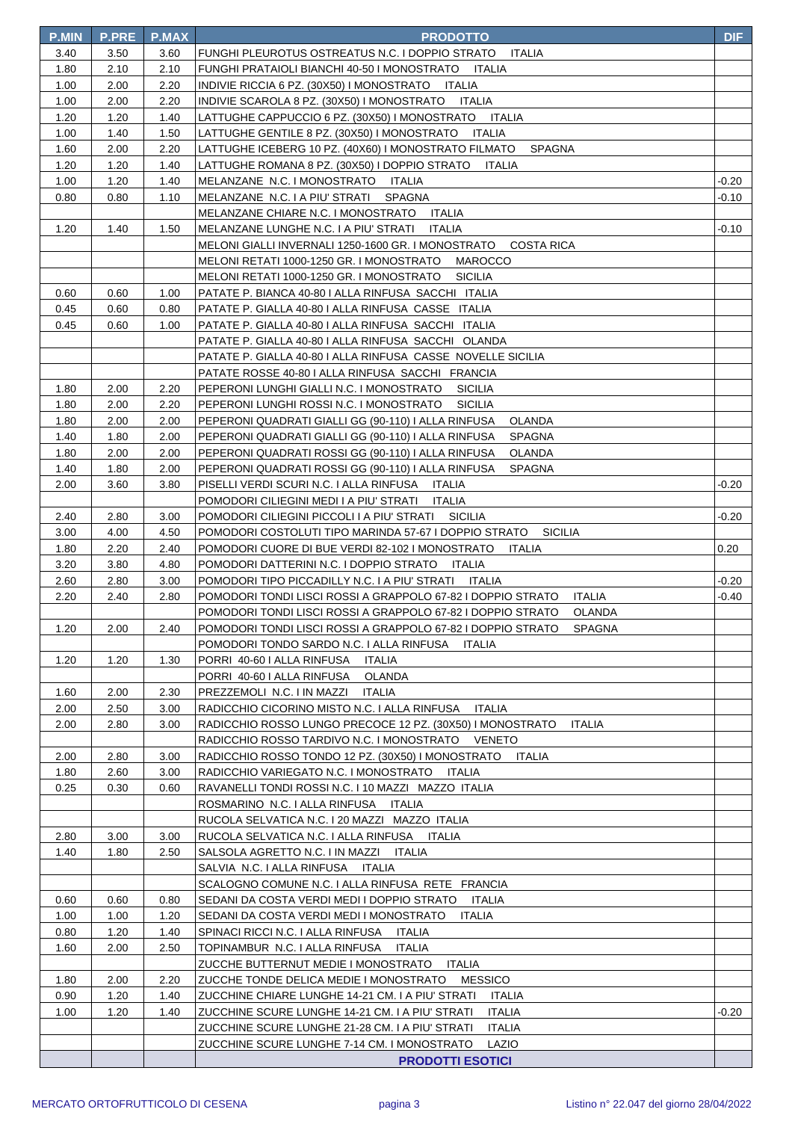| <b>P.MIN</b> | <b>P.PRE</b> | <b>P.MAX</b> | <b>PRODOTTO</b>                                                              | <b>DIF</b> |
|--------------|--------------|--------------|------------------------------------------------------------------------------|------------|
| 3.40         | 3.50         | 3.60         | FUNGHI PLEUROTUS OSTREATUS N.C. I DOPPIO STRATO<br><b>ITALIA</b>             |            |
| 1.80         | 2.10         | 2.10         | FUNGHI PRATAIOLI BIANCHI 40-50 I MONOSTRATO ITALIA                           |            |
| 1.00         | 2.00         | 2.20         | INDIVIE RICCIA 6 PZ. (30X50) I MONOSTRATO ITALIA                             |            |
| 1.00         | 2.00         | 2.20         | INDIVIE SCAROLA 8 PZ. (30X50) I MONOSTRATO ITALIA                            |            |
| 1.20         | 1.20         | 1.40         | LATTUGHE CAPPUCCIO 6 PZ. (30X50) I MONOSTRATO ITALIA                         |            |
| 1.00         | 1.40         | 1.50         | LATTUGHE GENTILE 8 PZ. (30X50) I MONOSTRATO<br>ITALIA                        |            |
| 1.60         | 2.00         | 2.20         | LATTUGHE ICEBERG 10 PZ. (40X60) I MONOSTRATO FILMATO<br>SPAGNA               |            |
| 1.20         | 1.20         | 1.40         | LATTUGHE ROMANA 8 PZ. (30X50) I DOPPIO STRATO<br>ITALIA                      |            |
| 1.00         | 1.20         | 1.40         | MELANZANE N.C. I MONOSTRATO ITALIA                                           | -0.20      |
| 0.80         | 0.80         | 1.10         | MELANZANE N.C. I A PIU' STRATI<br>SPAGNA                                     | $-0.10$    |
|              |              |              | MELANZANE CHIARE N.C. I MONOSTRATO ITALIA                                    |            |
| 1.20         | 1.40         | 1.50         | MELANZANE LUNGHE N.C. I A PIU' STRATI<br>ITALIA                              | -0.10      |
|              |              |              | MELONI GIALLI INVERNALI 1250-1600 GR. I MONOSTRATO<br><b>COSTA RICA</b>      |            |
|              |              |              | MELONI RETATI 1000-1250 GR. I MONOSTRATO MAROCCO                             |            |
|              |              |              | MELONI RETATI 1000-1250 GR. I MONOSTRATO<br><b>SICILIA</b>                   |            |
| 0.60         | 0.60         | 1.00         | PATATE P. BIANCA 40-80   ALLA RINFUSA SACCHI ITALIA                          |            |
| 0.45         | 0.60         | 0.80         | PATATE P. GIALLA 40-80   ALLA RINFUSA CASSE ITALIA                           |            |
| 0.45         | 0.60         | 1.00         | PATATE P. GIALLA 40-80 I ALLA RINFUSA SACCHI ITALIA                          |            |
|              |              |              | PATATE P. GIALLA 40-80   ALLA RINFUSA SACCHI OLANDA                          |            |
|              |              |              | PATATE P. GIALLA 40-80 I ALLA RINFUSA CASSE NOVELLE SICILIA                  |            |
|              |              |              | PATATE ROSSE 40-80   ALLA RINFUSA SACCHI FRANCIA                             |            |
| 1.80         | 2.00         | 2.20         | PEPERONI LUNGHI GIALLI N.C. I MONOSTRATO<br><b>SICILIA</b>                   |            |
| 1.80         | 2.00         | 2.20         | PEPERONI LUNGHI ROSSI N.C. I MONOSTRATO<br><b>SICILIA</b>                    |            |
| 1.80         | 2.00         | 2.00         | PEPERONI QUADRATI GIALLI GG (90-110) I ALLA RINFUSA<br>OLANDA                |            |
| 1.40         | 1.80         | 2.00         | PEPERONI QUADRATI GIALLI GG (90-110) I ALLA RINFUSA<br>SPAGNA                |            |
| 1.80         | 2.00         | 2.00         | PEPERONI QUADRATI ROSSI GG (90-110) I ALLA RINFUSA<br>OLANDA                 |            |
| 1.40         | 1.80         | 2.00         | PEPERONI QUADRATI ROSSI GG (90-110) I ALLA RINFUSA<br><b>SPAGNA</b>          |            |
| 2.00         | 3.60         | 3.80         | PISELLI VERDI SCURI N.C. I ALLA RINFUSA ITALIA                               | -0.20      |
|              |              |              | POMODORI CILIEGINI MEDI I A PIU' STRATI<br>ITALIA                            |            |
| 2.40         | 2.80         | 3.00         | POMODORI CILIEGINI PICCOLI I A PIU' STRATI<br><b>SICILIA</b>                 | $-0.20$    |
| 3.00         | 4.00         | 4.50         | POMODORI COSTOLUTI TIPO MARINDA 57-67 I DOPPIO STRATO<br><b>SICILIA</b>      |            |
| 1.80         | 2.20         | 2.40         | POMODORI CUORE DI BUE VERDI 82-102 I MONOSTRATO<br>ITALIA                    | 0.20       |
| 3.20         | 3.80         | 4.80         | POMODORI DATTERINI N.C. I DOPPIO STRATO<br>ITALIA                            |            |
| 2.60         | 2.80         | 3.00         | POMODORI TIPO PICCADILLY N.C. I A PIU' STRATI<br>ITALIA                      | $-0.20$    |
| 2.20         | 2.40         | 2.80         | POMODORI TONDI LISCI ROSSI A GRAPPOLO 67-82 I DOPPIO STRATO<br><b>ITALIA</b> | $-0.40$    |
|              |              |              | POMODORI TONDI LISCI ROSSI A GRAPPOLO 67-82 I DOPPIO STRATO<br>OLANDA        |            |
| 1.20         | 2.00         | 2.40         | POMODORI TONDI LISCI ROSSI A GRAPPOLO 67-82 I DOPPIO STRATO<br>SPAGNA        |            |
|              |              |              | POMODORI TONDO SARDO N.C. I ALLA RINFUSA ITALIA                              |            |
| 1.20         | 1.20         | 1.30         | PORRI 40-60 I ALLA RINFUSA<br>ITALIA                                         |            |
|              |              |              | PORRI 40-60 I ALLA RINFUSA<br>OLANDA                                         |            |
| 1.60         | 2.00         | 2.30         | PREZZEMOLI N.C. I IN MAZZI<br>ITALIA                                         |            |
| 2.00         | 2.50         | 3.00         | RADICCHIO CICORINO MISTO N.C. I ALLA RINFUSA<br>ITALIA                       |            |
| 2.00         | 2.80         | 3.00         | RADICCHIO ROSSO LUNGO PRECOCE 12 PZ. (30X50) I MONOSTRATO<br><b>ITALIA</b>   |            |
|              |              |              | RADICCHIO ROSSO TARDIVO N.C. I MONOSTRATO VENETO                             |            |
| 2.00         | 2.80         | 3.00         | RADICCHIO ROSSO TONDO 12 PZ. (30X50) I MONOSTRATO ITALIA                     |            |
| 1.80         | 2.60         | 3.00         | RADICCHIO VARIEGATO N.C. I MONOSTRATO ITALIA                                 |            |
| 0.25         | 0.30         | 0.60         | RAVANELLI TONDI ROSSI N.C. I 10 MAZZI MAZZO ITALIA                           |            |
|              |              |              | ROSMARINO N.C. I ALLA RINFUSA ITALIA                                         |            |
|              |              |              | RUCOLA SELVATICA N.C. I 20 MAZZI MAZZO ITALIA                                |            |
| 2.80         | 3.00         | 3.00         | RUCOLA SELVATICA N.C. I ALLA RINFUSA<br>ITALIA                               |            |
| 1.40         | 1.80         | 2.50         | SALSOLA AGRETTO N.C. I IN MAZZI<br>ITALIA                                    |            |
|              |              |              | SALVIA N.C. I ALLA RINFUSA ITALIA                                            |            |
|              |              |              | SCALOGNO COMUNE N.C. I ALLA RINFUSA RETE FRANCIA                             |            |
| 0.60         | 0.60         | 0.80         | SEDANI DA COSTA VERDI MEDI I DOPPIO STRATO<br>ITALIA                         |            |
| 1.00         | 1.00         | 1.20         | SEDANI DA COSTA VERDI MEDI I MONOSTRATO<br>ITALIA                            |            |
| 0.80         | 1.20         | 1.40         | SPINACI RICCI N.C. I ALLA RINFUSA<br>ITALIA                                  |            |
| 1.60         | 2.00         | 2.50         | TOPINAMBUR N.C. I ALLA RINFUSA<br><b>ITALIA</b>                              |            |
|              |              |              | ZUCCHE BUTTERNUT MEDIE I MONOSTRATO<br><b>ITALIA</b>                         |            |
| 1.80         | 2.00         | 2.20         | <b>MESSICO</b><br>ZUCCHE TONDE DELICA MEDIE I MONOSTRATO                     |            |
| 0.90         | 1.20         | 1.40         | ZUCCHINE CHIARE LUNGHE 14-21 CM. I A PIU' STRATI<br>ITALIA                   |            |
| 1.00         | 1.20         | 1.40         | ZUCCHINE SCURE LUNGHE 14-21 CM. I A PIU' STRATI<br><b>ITALIA</b>             | -0.20      |
|              |              |              | ZUCCHINE SCURE LUNGHE 21-28 CM. I A PIU' STRATI<br><b>ITALIA</b>             |            |
|              |              |              | ZUCCHINE SCURE LUNGHE 7-14 CM. I MONOSTRATO<br>LAZIO                         |            |
|              |              |              | <b>PRODOTTI ESOTICI</b>                                                      |            |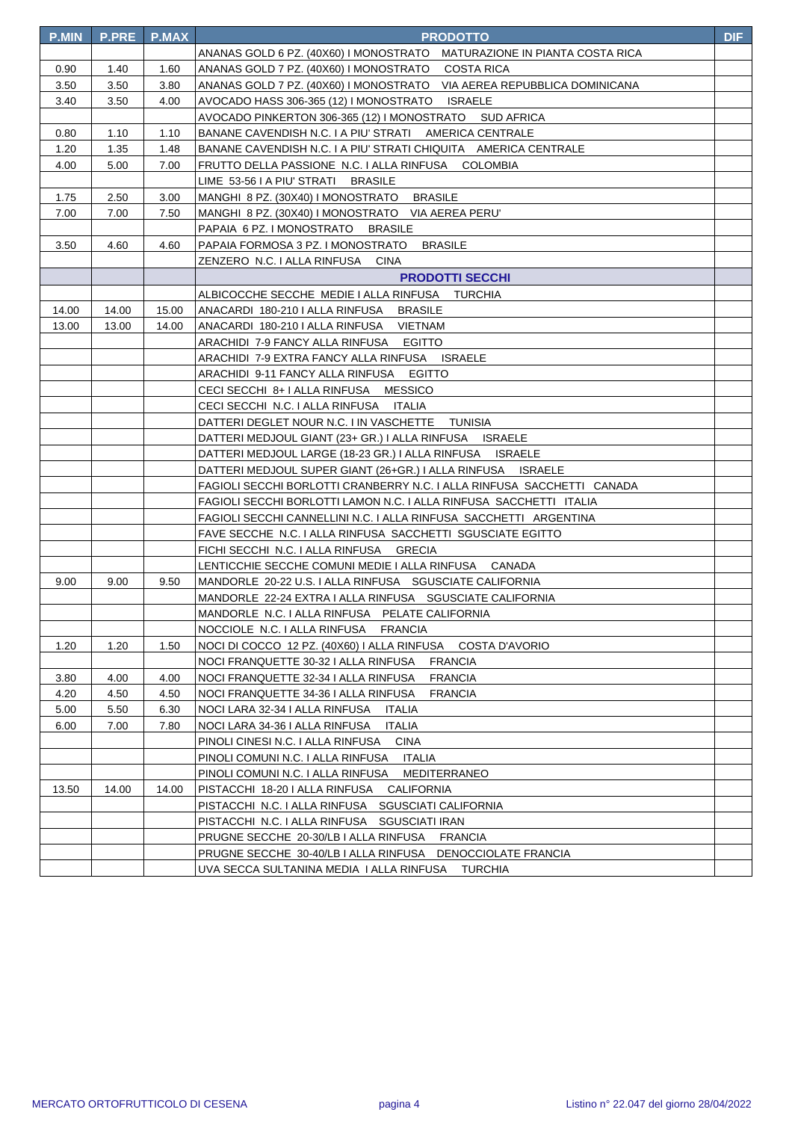| <b>P.MIN</b> | <b>P.PRE</b> | <b>P.MAX</b> | <b>PRODOTTO</b>                                                         | <b>DIF</b> |
|--------------|--------------|--------------|-------------------------------------------------------------------------|------------|
|              |              |              | ANANAS GOLD 6 PZ. (40X60) I MONOSTRATO MATURAZIONE IN PIANTA COSTA RICA |            |
| 0.90         | 1.40         | 1.60         | ANANAS GOLD 7 PZ. (40X60) I MONOSTRATO COSTA RICA                       |            |
| 3.50         | 3.50         | 3.80         | ANANAS GOLD 7 PZ. (40X60) I MONOSTRATO VIA AEREA REPUBBLICA DOMINICANA  |            |
| 3.40         | 3.50         | 4.00         | AVOCADO HASS 306-365 (12) I MONOSTRATO ISRAELE                          |            |
|              |              |              | AVOCADO PINKERTON 306-365 (12) I MONOSTRATO SUD AFRICA                  |            |
| 0.80         | 1.10         | 1.10         | BANANE CAVENDISH N.C. I A PIU' STRATI AMERICA CENTRALE                  |            |
| 1.20         | 1.35         | 1.48         | BANANE CAVENDISH N.C. I A PIU' STRATI CHIQUITA AMERICA CENTRALE         |            |
| 4.00         | 5.00         | 7.00         | FRUTTO DELLA PASSIONE N.C. I ALLA RINFUSA COLOMBIA                      |            |
|              |              |              | LIME 53-56 I A PIU' STRATI BRASILE                                      |            |
| 1.75         | 2.50         | 3.00         | MANGHI 8 PZ. (30X40) I MONOSTRATO BRASILE                               |            |
| 7.00         | 7.00         | 7.50         | MANGHI 8 PZ. (30X40) I MONOSTRATO VIA AEREA PERU'                       |            |
|              |              |              | PAPAIA 6 PZ. I MONOSTRATO BRASILE                                       |            |
| 3.50         | 4.60         | 4.60         | PAPAIA FORMOSA 3 PZ. I MONOSTRATO BRASILE                               |            |
|              |              |              | ZENZERO N.C. I ALLA RINFUSA<br>CINA                                     |            |
|              |              |              | <b>PRODOTTI SECCHI</b>                                                  |            |
|              |              |              | ALBICOCCHE SECCHE MEDIE I ALLA RINFUSA TURCHIA                          |            |
| 14.00        | 14.00        | 15.00        | ANACARDI 180-210 I ALLA RINFUSA BRASILE                                 |            |
| 13.00        | 13.00        | 14.00        | ANACARDI 180-210 I ALLA RINFUSA VIETNAM                                 |            |
|              |              |              | ARACHIDI 7-9 FANCY ALLA RINFUSA EGITTO                                  |            |
|              |              |              | ARACHIDI 7-9 EXTRA FANCY ALLA RINFUSA ISRAELE                           |            |
|              |              |              | ARACHIDI 9-11 FANCY ALLA RINFUSA EGITTO                                 |            |
|              |              |              | CECI SECCHI 8+ I ALLA RINFUSA MESSICO                                   |            |
|              |              |              | CECI SECCHI N.C. I ALLA RINFUSA ITALIA                                  |            |
|              |              |              | DATTERI DEGLET NOUR N.C. I IN VASCHETTE TUNISIA                         |            |
|              |              |              | DATTERI MEDJOUL GIANT (23+ GR.) I ALLA RINFUSA ISRAELE                  |            |
|              |              |              | DATTERI MEDJOUL LARGE (18-23 GR.) I ALLA RINFUSA ISRAELE                |            |
|              |              |              | DATTERI MEDJOUL SUPER GIANT (26+GR.) I ALLA RINFUSA ISRAELE             |            |
|              |              |              | FAGIOLI SECCHI BORLOTTI CRANBERRY N.C. I ALLA RINFUSA SACCHETTI CANADA  |            |
|              |              |              | FAGIOLI SECCHI BORLOTTI LAMON N.C. I ALLA RINFUSA SACCHETTI ITALIA      |            |
|              |              |              | FAGIOLI SECCHI CANNELLINI N.C. I ALLA RINFUSA SACCHETTI ARGENTINA       |            |
|              |              |              | FAVE SECCHE N.C. I ALLA RINFUSA SACCHETTI SGUSCIATE EGITTO              |            |
|              |              |              | FICHI SECCHI N.C. I ALLA RINFUSA GRECIA                                 |            |
|              |              |              | LENTICCHIE SECCHE COMUNI MEDIE I ALLA RINFUSA CANADA                    |            |
| 9.00         | 9.00         | 9.50         | MANDORLE 20-22 U.S. I ALLA RINFUSA SGUSCIATE CALIFORNIA                 |            |
|              |              |              | MANDORLE 22-24 EXTRA I ALLA RINFUSA SGUSCIATE CALIFORNIA                |            |
|              |              |              | MANDORLE N.C. I ALLA RINFUSA PELATE CALIFORNIA                          |            |
|              |              |              | NOCCIOLE N.C. I ALLA RINFUSA FRANCIA                                    |            |
| 1.20         | 1.20         | 1.50         | NOCI DI COCCO 12 PZ. (40X60) I ALLA RINFUSA COSTA D'AVORIO              |            |
|              |              |              | NOCI FRANQUETTE 30-32 I ALLA RINFUSA<br><b>FRANCIA</b>                  |            |
| 3.80         | 4.00         | 4.00         | <b>FRANCIA</b><br>NOCI FRANQUETTE 32-34 I ALLA RINFUSA                  |            |
| 4.20         | 4.50         | 4.50         | NOCI FRANQUETTE 34-36 I ALLA RINFUSA<br><b>FRANCIA</b>                  |            |
| 5.00         | 5.50         | 6.30         | NOCI LARA 32-34 I ALLA RINFUSA ITALIA                                   |            |
| 6.00         | 7.00         | 7.80         | <b>ITALIA</b><br>NOCI LARA 34-36 I ALLA RINFUSA                         |            |
|              |              |              | PINOLI CINESI N.C. I ALLA RINFUSA CINA                                  |            |
|              |              |              | PINOLI COMUNI N.C. I ALLA RINFUSA ITALIA                                |            |
|              |              |              | PINOLI COMUNI N.C. I ALLA RINFUSA MEDITERRANEO                          |            |
| 13.50        | 14.00        | 14.00        | PISTACCHI 18-20 I ALLA RINFUSA CALIFORNIA                               |            |
|              |              |              | PISTACCHI N.C. I ALLA RINFUSA SGUSCIATI CALIFORNIA                      |            |
|              |              |              | PISTACCHI N.C. I ALLA RINFUSA SGUSCIATI IRAN                            |            |
|              |              |              | PRUGNE SECCHE 20-30/LB I ALLA RINFUSA FRANCIA                           |            |
|              |              |              | PRUGNE SECCHE 30-40/LB I ALLA RINFUSA DENOCCIOLATE FRANCIA              |            |
|              |              |              | UVA SECCA SULTANINA MEDIA I ALLA RINFUSA TURCHIA                        |            |